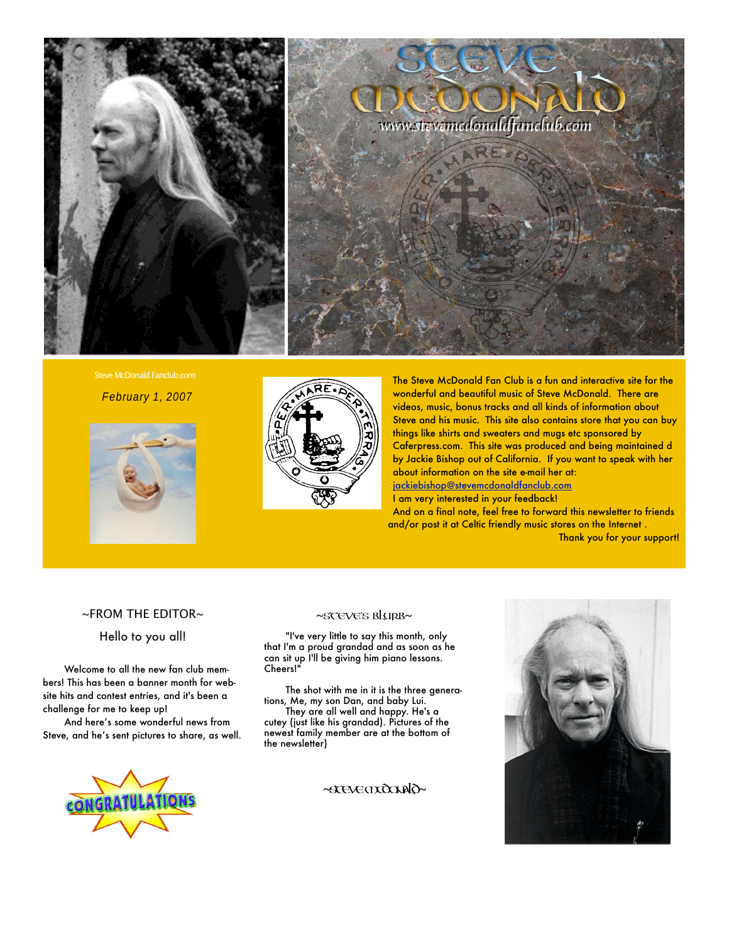

Steve McDonald Fanclub.com

February 1, 2007





The Steve McDonald Fan Club is a fun and interactive site for the wonderful and beautiful music of Steve McDonald. There are videos, music, bonus tracks and all kinds of information about Steve and his music. This site also contains store that you can buy things like shirts and sweaters and mugs etc sponsored by Caferpress.com. This site was produced and being maintained d by Jackie Bishop out of California. If you want to speak with her about information on the site e-mail her at: [jackiebishop@stevemcdonaldfanclub.com](mailto:jackiebishop@stevemcdonaldfanclub.com) I am very interested in your feedback!

And on a final note, feel free to forward this newsletter to friends and/or post it at Celtic friendly music stores on the Internet . Thank you for your support!

#### ~FROM THE EDITOR~

Hello to you all!

Welcome to all the new fan club members! This has been a banner month for website hits and contest entries, and it's been a challenge for me to keep up!

And here's some wonderful news from Steve, and he's sent pictures to share, as well.



"I've very little to say this month, only that I'm a proud grandad and as soon as he can sit up I'll be giving him piano lessons. Cheers!"

The shot with me in it is the three generations, Me, my son Dan, and baby Lui.

They are all well and happy. He's a cutey (just like his grandad). Pictures of the newest family member are at the bottom of the newsletter)





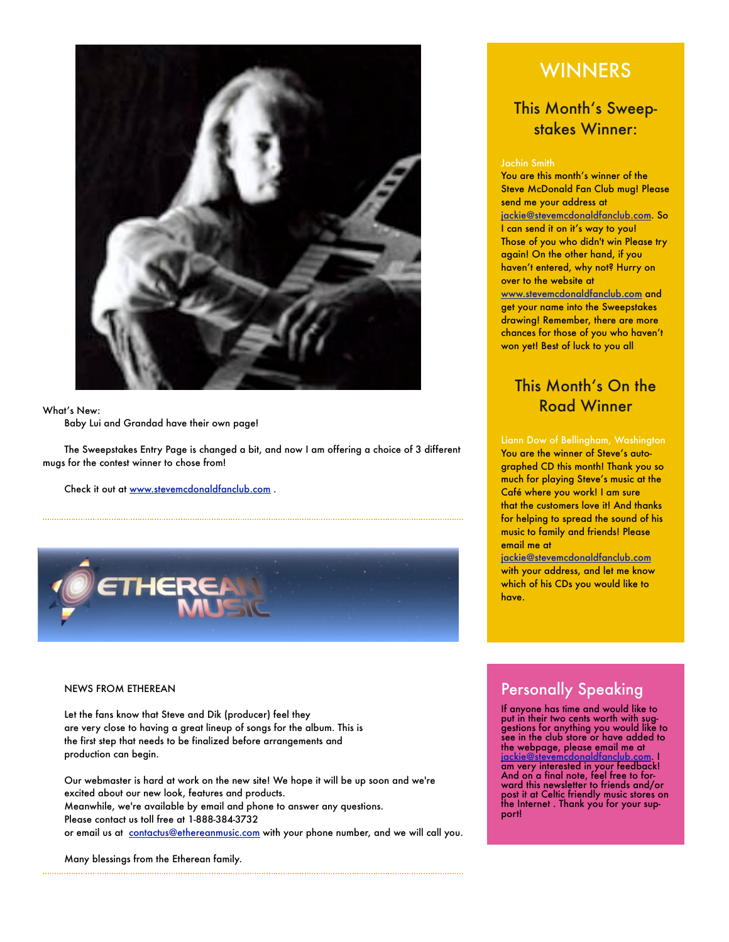

#### What's New:

Baby Lui and Grandad have their own page!

The Sweepstakes Entry Page is changed a bit, and now I am offering a choice of 3 different mugs for the contest winner to chose from!

Check it out at [www.stevemcdonaldfanclub.com](http://www.stevemcdonaldfanclub.com) .



#### NEWS FROM ETHEREAN

Let the fans know that Steve and Dik (producer) feel they are very close to having a great lineup of songs for the album. This is the first step that needs to be finalized before arrangements and production can begin.

Our webmaster is hard at work on the new site! We hope it will be up soon and we're excited about our new look, features and products. Meanwhile, we're available by email and phone to answer any questions. Please contact us toll free at 1-888-384-3732 or email us at [contactus@ethereanmusic.com](mailto:contactus@ethereanmusic.com) with your phone number, and we will call you.

Many blessings from the Etherean family.

## WINNERS

### This Month's Sweepstakes Winner:

#### Jachin Smith

You are this month's winner of the Steve McDonald Fan Club mug! Please send me your address at [jackie@stevemcdonaldfanclub.com.](mailto:jackie@stevemcdonaldfanclub.com) So I can send it on it's way to you! Those of you who didn't win Please try again! On the other hand, if you haven't entered, why not? Hurry on over to the website at [www.stevemcdonaldfanclub.com](http://www.stevemcdonaldfanclub.com) and get your name into the Sweepstakes drawing! Remember, there are more chances for those of you who haven't won yet! Best of luck to you all

### This Month's On the Road Winner

Liann Dow of Bellingham, Washington You are the winner of Steve's autographed CD this month! Thank you so much for playing Steve's music at the Café where you work! I am sure that the customers love it! And thanks for helping to spread the sound of his music to family and friends! Please email me at

[jackie@stevemcdonaldfanclub.com](mailto:jackie@stevemcdonaldfanclub.com) with your address, and let me know which of his CDs you would like to have.

## **Personally Speaking**

If anyone has time and would like to put in their two cents worth with suggestions for anything you would like to see in the club store or have added to the webpage, please email me at [jackie@stevemcdonaldfanclub.com.](mailto:jackie@stevemcdonaldfanclub.com) I am very interested in your feedback! And on a final note, feel free to forward this newsletter to friends and/or post it at Celtic friendly music stores on the Internet . Thank you for your support!